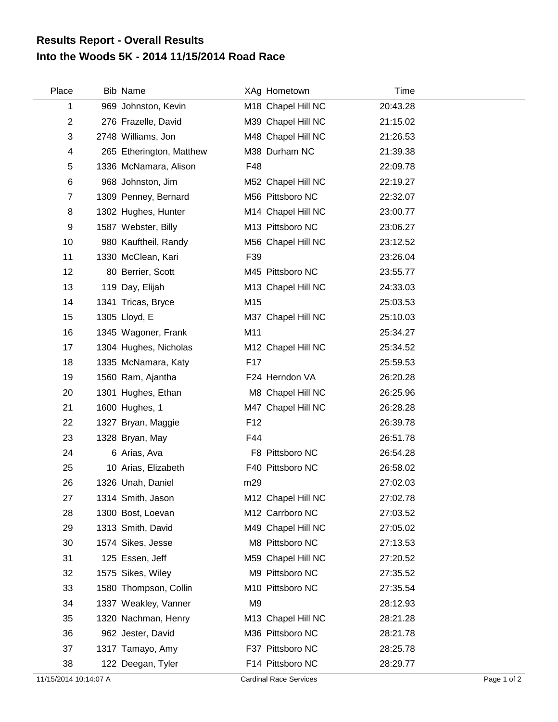## **Into the Woods 5K - 2014 11/15/2014 Road Race Results Report - Overall Results**

| Place          | Bib Name                 |                 | XAg Hometown       | Time     |  |
|----------------|--------------------------|-----------------|--------------------|----------|--|
| 1              | 969 Johnston, Kevin      |                 | M18 Chapel Hill NC | 20:43.28 |  |
| $\overline{c}$ | 276 Frazelle, David      |                 | M39 Chapel Hill NC | 21:15.02 |  |
| 3              | 2748 Williams, Jon       |                 | M48 Chapel Hill NC | 21:26.53 |  |
| 4              | 265 Etherington, Matthew |                 | M38 Durham NC      | 21:39.38 |  |
| 5              | 1336 McNamara, Alison    | F48             |                    | 22:09.78 |  |
| 6              | 968 Johnston, Jim        |                 | M52 Chapel Hill NC | 22:19.27 |  |
| $\overline{7}$ | 1309 Penney, Bernard     |                 | M56 Pittsboro NC   | 22:32.07 |  |
| 8              | 1302 Hughes, Hunter      |                 | M14 Chapel Hill NC | 23:00.77 |  |
| 9              | 1587 Webster, Billy      |                 | M13 Pittsboro NC   | 23:06.27 |  |
| 10             | 980 Kauftheil, Randy     |                 | M56 Chapel Hill NC | 23:12.52 |  |
| 11             | 1330 McClean, Kari       | F39             |                    | 23:26.04 |  |
| 12             | 80 Berrier, Scott        |                 | M45 Pittsboro NC   | 23:55.77 |  |
| 13             | 119 Day, Elijah          |                 | M13 Chapel Hill NC | 24:33.03 |  |
| 14             | 1341 Tricas, Bryce       | M15             |                    | 25:03.53 |  |
| 15             | 1305 Lloyd, E            |                 | M37 Chapel Hill NC | 25:10.03 |  |
| 16             | 1345 Wagoner, Frank      | M11             |                    | 25:34.27 |  |
| 17             | 1304 Hughes, Nicholas    |                 | M12 Chapel Hill NC | 25:34.52 |  |
| 18             | 1335 McNamara, Katy      | F17             |                    | 25:59.53 |  |
| 19             | 1560 Ram, Ajantha        |                 | F24 Herndon VA     | 26:20.28 |  |
| 20             | 1301 Hughes, Ethan       |                 | M8 Chapel Hill NC  | 26:25.96 |  |
| 21             | 1600 Hughes, 1           |                 | M47 Chapel Hill NC | 26:28.28 |  |
| 22             | 1327 Bryan, Maggie       | F <sub>12</sub> |                    | 26:39.78 |  |
| 23             | 1328 Bryan, May          | F44             |                    | 26:51.78 |  |
| 24             | 6 Arias, Ava             |                 | F8 Pittsboro NC    | 26:54.28 |  |
| 25             | 10 Arias, Elizabeth      |                 | F40 Pittsboro NC   | 26:58.02 |  |
| 26             | 1326 Unah, Daniel        | m29             |                    | 27:02.03 |  |
| 27             | 1314 Smith, Jason        |                 | M12 Chapel Hill NC | 27:02.78 |  |
| 28             | 1300 Bost, Loevan        |                 | M12 Carrboro NC    | 27:03.52 |  |
| 29             | 1313 Smith, David        |                 | M49 Chapel Hill NC | 27:05.02 |  |
| 30             | 1574 Sikes, Jesse        |                 | M8 Pittsboro NC    | 27:13.53 |  |
| 31             | 125 Essen, Jeff          |                 | M59 Chapel Hill NC | 27:20.52 |  |
| 32             | 1575 Sikes, Wiley        |                 | M9 Pittsboro NC    | 27:35.52 |  |
| 33             | 1580 Thompson, Collin    |                 | M10 Pittsboro NC   | 27:35.54 |  |
| 34             | 1337 Weakley, Vanner     | M <sub>9</sub>  |                    | 28:12.93 |  |
| 35             | 1320 Nachman, Henry      |                 | M13 Chapel Hill NC | 28:21.28 |  |
| 36             | 962 Jester, David        |                 | M36 Pittsboro NC   | 28:21.78 |  |
| 37             | 1317 Tamayo, Amy         |                 | F37 Pittsboro NC   | 28:25.78 |  |
| 38             | 122 Deegan, Tyler        |                 | F14 Pittsboro NC   | 28:29.77 |  |